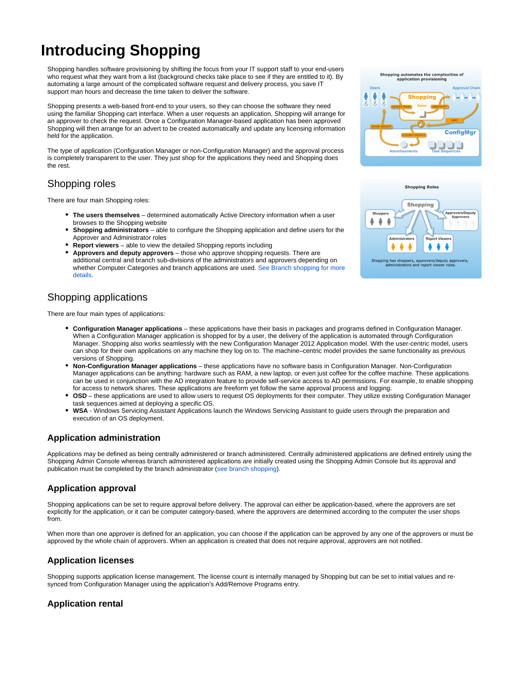# **Introducing Shopping**

Shopping handles software provisioning by shifting the focus from your IT support staff to your end-users who request what they want from a list (background checks take place to see if they are entitled to it). By automating a large amount of the complicated software request and delivery process, you save IT support man hours and decrease the time taken to deliver the software.

Shopping presents a web-based front-end to your users, so they can choose the software they need using the familiar Shopping cart interface. When a user requests an application, Shopping will arrange for an approver to check the request. Once a Configuration Manager-based application has been approved Shopping will then arrange for an advert to be created automatically and update any licensing information held for the application.

The type of application (Configuration Manager or non-Configuration Manager) and the approval process is completely transparent to the user. They just shop for the applications they need and Shopping does the rest.

## Shopping roles

There are four main Shopping roles:

- **The users themselves** determined automatically Active Directory information when a user browses to the Shopping website
- **Shopping administrators** able to configure the Shopping application and define users for the Approver and Administrator roles
- **Report viewers** able to view the detailed Shopping reports including
- **Approvers and deputy approvers** those who approve shopping requests. There are additional central and branch sub-divisions of the administrators and approvers depending on whether Computer Categories and branch applications are used. [See Branch shopping for more](#page-1-0)  [details](#page-1-0).

# Shopping applications

There are four main types of applications:

- **Configuration Manager applications** these applications have their basis in packages and programs defined in Configuration Manager. When a Configuration Manager application is shopped for by a user, the delivery of the application is automated through Configuration Manager. Shopping also works seamlessly with the new Configuration Manager 2012 Application model. With the user-centric model, users can shop for their own applications on any machine they log on to. The machine–centric model provides the same functionality as previous versions of Shopping.
- **Non-Configuration Manager applications** these applications have no software basis in Configuration Manager. Non-Configuration Manager applications can be anything: hardware such as RAM, a new laptop, or even just coffee for the coffee machine. These applications can be used in conjunction with the AD integration feature to provide self-service access to AD permissions. For example, to enable shopping for access to network shares. These applications are freeform yet follow the same approval process and logging.
- **OSD** these applications are used to allow users to request OS deployments for their computer. They utilize existing Configuration Manager task sequences aimed at deploying a specific OS.
- **WSA** Windows Servicing Assistant Applications launch the Windows Servicing Assistant to guide users through the preparation and execution of an OS deployment.

#### **Application administration**

Applications may be defined as being centrally administered or branch administered. Centrally administered applications are defined entirely using the Shopping Admin Console whereas branch administered applications are initially created using the Shopping Admin Console but its approval and publication must be completed by the branch administrator [\(see branch shopping](#page-1-0)).

#### **Application approval**

Shopping applications can be set to require approval before delivery. The approval can either be application-based, where the approvers are set explicitly for the application, or it can be computer category-based, where the approvers are determined according to the computer the user shops from.

When more than one approver is defined for an application, you can choose if the application can be approved by any one of the approvers or must be approved by the whole chain of approvers. When an application is created that does not require approval, approvers are not notified.

#### **Application licenses**

Shopping supports application license management. The license count is internally managed by Shopping but can be set to initial values and resynced from Configuration Manager using the application's Add/Remove Programs entry.

## **Application rental**



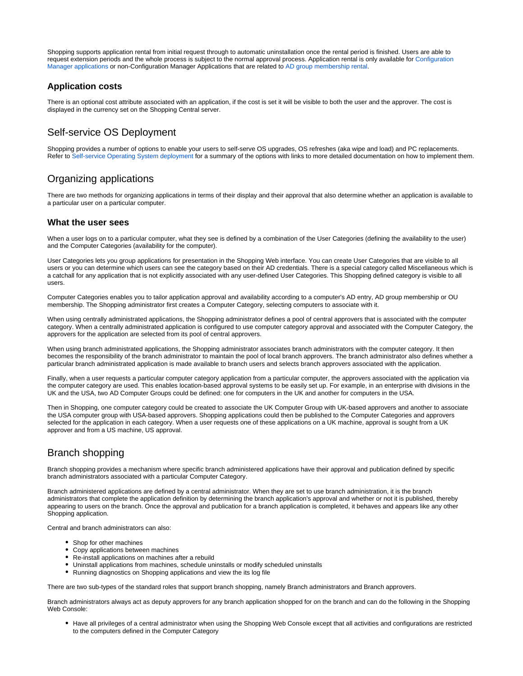Shopping supports application rental from initial request through to automatic uninstallation once the rental period is finished. Users are able to request extension periods and the whole process is subject to the normal approval process. Application rental is only available for [Configuration](https://help.1e.com/display/SHP60/Managing+Configuration+Manager+applications)  [Manager applications](https://help.1e.com/display/SHP60/Managing+Configuration+Manager+applications) or non-Configuration Manager Applications that are related to [AD group membership rental](https://help.1e.com/display/SHP60/AD+group+membership+rental).

#### **Application costs**

There is an optional cost attribute associated with an application, if the cost is set it will be visible to both the user and the approver. The cost is displayed in the currency set on the Shopping Central server.

## Self-service OS Deployment

Shopping provides a number of options to enable your users to self-serve OS upgrades, OS refreshes (aka wipe and load) and PC replacements. Refer to [Self-service Operating System deployment](https://help.1e.com/display/SHP60/Self-service+Operating+System+deployment) for a summary of the options with links to more detailed documentation on how to implement them.

## Organizing applications

There are two methods for organizing applications in terms of their display and their approval that also determine whether an application is available to a particular user on a particular computer.

#### **What the user sees**

When a user logs on to a particular computer, what they see is defined by a combination of the User Categories (defining the availability to the user) and the Computer Categories (availability for the computer).

User Categories lets you group applications for presentation in the Shopping Web interface. You can create User Categories that are visible to all users or you can determine which users can see the category based on their AD credentials. There is a special category called Miscellaneous which is a catchall for any application that is not explicitly associated with any user-defined User Categories. This Shopping defined category is visible to all users.

Computer Categories enables you to tailor application approval and availability according to a computer's AD entry, AD group membership or OU membership. The Shopping administrator first creates a Computer Category, selecting computers to associate with it.

When using centrally administrated applications, the Shopping administrator defines a pool of central approvers that is associated with the computer category. When a centrally administrated application is configured to use computer category approval and associated with the Computer Category, the approvers for the application are selected from its pool of central approvers.

When using branch administrated applications, the Shopping administrator associates branch administrators with the computer category. It then becomes the responsibility of the branch administrator to maintain the pool of local branch approvers. The branch administrator also defines whether a particular branch administrated application is made available to branch users and selects branch approvers associated with the application.

Finally, when a user requests a particular computer category application from a particular computer, the approvers associated with the application via the computer category are used. This enables location-based approval systems to be easily set up. For example, in an enterprise with divisions in the UK and the USA, two AD Computer Groups could be defined: one for computers in the UK and another for computers in the USA.

Then in Shopping, one computer category could be created to associate the UK Computer Group with UK-based approvers and another to associate the USA computer group with USA-based approvers. Shopping applications could then be published to the Computer Categories and approvers selected for the application in each category. When a user requests one of these applications on a UK machine, approval is sought from a UK approver and from a US machine, US approval.

# <span id="page-1-0"></span>Branch shopping

Branch shopping provides a mechanism where specific branch administered applications have their approval and publication defined by specific branch administrators associated with a particular Computer Category.

Branch administered applications are defined by a central administrator. When they are set to use branch administration, it is the branch administrators that complete the application definition by determining the branch application's approval and whether or not it is published, thereby appearing to users on the branch. Once the approval and publication for a branch application is completed, it behaves and appears like any other Shopping application.

Central and branch administrators can also:

- Shop for other machines
- Copy applications between machines
- Re-install applications on machines after a rebuild
- Uninstall applications from machines, schedule uninstalls or modify scheduled uninstalls
- Running diagnostics on Shopping applications and view the its log file

There are two sub-types of the standard roles that support branch shopping, namely Branch administrators and Branch approvers.

Branch administrators always act as deputy approvers for any branch application shopped for on the branch and can do the following in the Shopping Web Console:

Have all privileges of a central administrator when using the Shopping Web Console except that all activities and configurations are restricted to the computers defined in the Computer Category